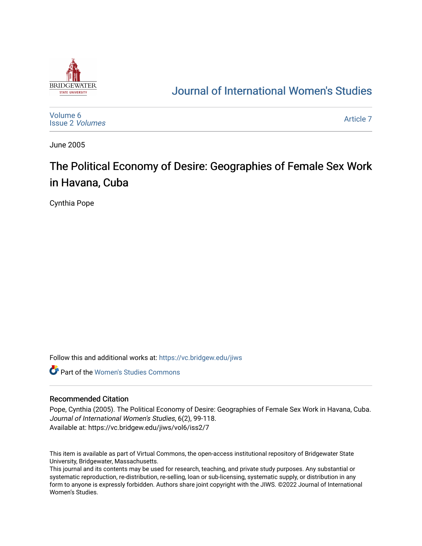

# [Journal of International Women's Studies](https://vc.bridgew.edu/jiws)

[Volume 6](https://vc.bridgew.edu/jiws/vol6) [Issue 2](https://vc.bridgew.edu/jiws/vol6/iss2) Volumes [Article 7](https://vc.bridgew.edu/jiws/vol6/iss2/7) 

June 2005

# The Political Economy of Desire: Geographies of Female Sex Work in Havana, Cuba

Cynthia Pope

Follow this and additional works at: [https://vc.bridgew.edu/jiws](https://vc.bridgew.edu/jiws?utm_source=vc.bridgew.edu%2Fjiws%2Fvol6%2Fiss2%2F7&utm_medium=PDF&utm_campaign=PDFCoverPages)

**C** Part of the Women's Studies Commons

#### Recommended Citation

Pope, Cynthia (2005). The Political Economy of Desire: Geographies of Female Sex Work in Havana, Cuba. Journal of International Women's Studies, 6(2), 99-118. Available at: https://vc.bridgew.edu/jiws/vol6/iss2/7

This item is available as part of Virtual Commons, the open-access institutional repository of Bridgewater State University, Bridgewater, Massachusetts.

This journal and its contents may be used for research, teaching, and private study purposes. Any substantial or systematic reproduction, re-distribution, re-selling, loan or sub-licensing, systematic supply, or distribution in any form to anyone is expressly forbidden. Authors share joint copyright with the JIWS. ©2022 Journal of International Women's Studies.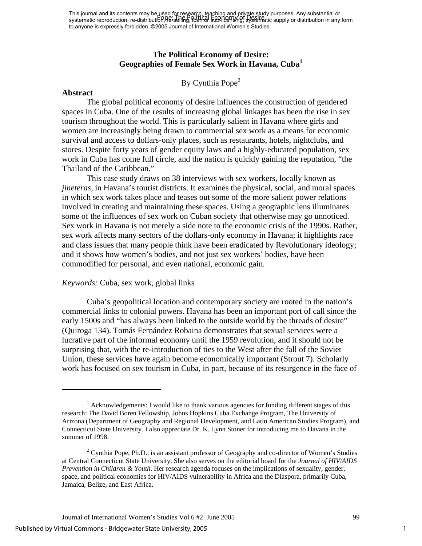This journal and its contents may be used for research, teaching and private study purposes. Any substantial or This journal and its contents may be asset in respective, all thing and propice study purposes. Any substantial or<br>systematic reproduction, re-distribution, Pe-selling, Poart of Sup-litensing, systematic supply or distribu to anyone is expressly forbidden. ©2005 Journal of International Women's Studies.

#### **The Political Economy of Desire: Geographies of Female Sex Work in Havana, Cuba[1](#page-1-0)**

# By Cynthia Pope<sup>2</sup>

#### **Abstract**

 $\overline{a}$ 

The global political economy of desire influences the construction of gendered spaces in Cuba. One of the results of increasing global linkages has been the rise in sex tourism throughout the world. This is particularly salient in Havana where girls and women are increasingly being drawn to commercial sex work as a means for economic survival and access to dollars-only places, such as restaurants, hotels, nightclubs, and stores. Despite forty years of gender equity laws and a highly-educated population, sex work in Cuba has come full circle, and the nation is quickly gaining the reputation, "the Thailand of the Caribbean."

 This case study draws on 38 interviews with sex workers, locally known as *jineteras*, in Havana's tourist districts. It examines the physical, social, and moral spaces in which sex work takes place and teases out some of the more salient power relations involved in creating and maintaining these spaces. Using a geographic lens illuminates some of the influences of sex work on Cuban society that otherwise may go unnoticed. Sex work in Havana is not merely a side note to the economic crisis of the 1990s. Rather, sex work affects many sectors of the dollars-only economy in Havana; it highlights race and class issues that many people think have been eradicated by Revolutionary ideology; and it shows how women's bodies, and not just sex workers' bodies, have been commodified for personal, and even national, economic gain.

#### *Keywords:* Cuba, sex work, global links

Cuba's geopolitical location and contemporary society are rooted in the nation's commercial links to colonial powers. Havana has been an important port of call since the early 1500s and "has always been linked to the outside world by the threads of desire" (Quiroga 134). Tomás Fernández Robaina demonstrates that sexual services were a lucrative part of the informal economy until the 1959 revolution, and it should not be surprising that, with the re-introduction of ties to the West after the fall of the Soviet Union, these services have again become economically important (Strout 7). Scholarly work has focused on sex tourism in Cuba, in part, because of its resurgence in the face of

<span id="page-1-0"></span><sup>&</sup>lt;sup>1</sup> Acknowledgements: I would like to thank various agencies for funding different stages of this research: The David Boren Fellowship, Johns Hopkins Cuba Exchange Program, The University of Arizona (Department of Geography and Regional Development, and Latin American Studies Program), and Connecticut State University. I also appreciate Dr. K. Lynn Stoner for introducing me to Havana in the summer of 1998.

<span id="page-1-1"></span> $2^2$  Cynthia Pope, Ph.D., is an assistant professor of Geography and co-director of Women's Studies at Central Connecticut State University. She also serves on the editorial board for the *Journal of HIV/AIDS Prevention in Children & Youth*. Her research agenda focuses on the implications of sexuality, gender, space, and political economies for HIV/AIDS vulnerability in Africa and the Diaspora, primarily Cuba, Jamaica, Belize, and East Africa.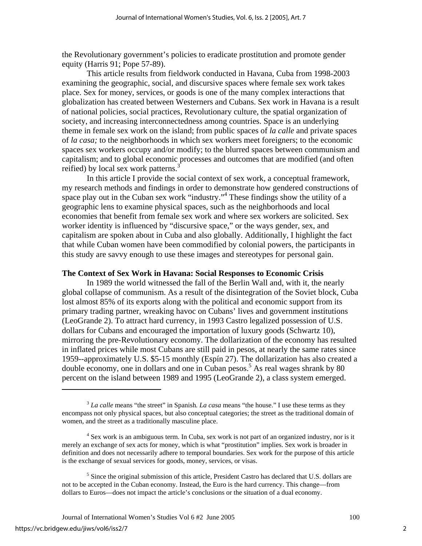the Revolutionary government's policies to eradicate prostitution and promote gender equity (Harris 91; Pope 57-89).

 This article results from fieldwork conducted in Havana, Cuba from 1998-2003 examining the geographic, social, and discursive spaces where female sex work takes place. Sex for money, services, or goods is one of the many complex interactions that globalization has created between Westerners and Cubans. Sex work in Havana is a result of national policies, social practices, Revolutionary culture, the spatial organization of society, and increasing interconnectedness among countries. Space is an underlying theme in female sex work on the island; from public spaces of *la calle* and private spaces of *la casa;* to the neighborhoods in which sex workers meet foreigners; to the economic spaces sex workers occupy and/or modify; to the blurred spaces between communism and capitalism; and to global economic processes and outcomes that are modified (and often reified) by local sex work patterns.<sup>3</sup>

In this article I provide the social context of sex work, a conceptual framework, my research methods and findings in order to demonstrate how gendered constructions of space play out in the Cuban sex work "industry."<sup>[4](#page-2-1)</sup> These findings show the utility of a geographic lens to examine physical spaces, such as the neighborhoods and local economies that benefit from female sex work and where sex workers are solicited. Sex worker identity is influenced by "discursive space," or the ways gender, sex, and capitalism are spoken about in Cuba and also globally. Additionally, I highlight the fact that while Cuban women have been commodified by colonial powers, the participants in this study are savvy enough to use these images and stereotypes for personal gain.

#### **The Context of Sex Work in Havana: Social Responses to Economic Crisis**

In 1989 the world witnessed the fall of the Berlin Wall and, with it, the nearly global collapse of communism. As a result of the disintegration of the Soviet block, Cuba lost almost 85% of its exports along with the political and economic support from its primary trading partner, wreaking havoc on Cubans' lives and government institutions (LeoGrande 2). To attract hard currency, in 1993 Castro legalized possession of U.S. dollars for Cubans and encouraged the importation of luxury goods (Schwartz 10), mirroring the pre-Revolutionary economy. The dollarization of the economy has resulted in inflated prices while most Cubans are still paid in pesos, at nearly the same rates since 1959--approximately U.S. \$5-15 monthly (Espín 27). The dollarization has also created a double economy, one in dollars and one in Cuban pesos.<sup>[5](#page-2-2)</sup> As real wages shrank by 80 percent on the island between 1989 and 1995 (LeoGrande 2), a class system emerged.

<span id="page-2-0"></span><sup>3</sup> *La calle* means "the street" in Spanish*. La casa* means "the house." I use these terms as they encompass not only physical spaces, but also conceptual categories; the street as the traditional domain of women, and the street as a traditionally masculine place.

<span id="page-2-1"></span><sup>&</sup>lt;sup>4</sup> Sex work is an ambiguous term. In Cuba, sex work is not part of an organized industry, nor is it merely an exchange of sex acts for money, which is what "prostitution" implies. Sex work is broader in definition and does not necessarily adhere to temporal boundaries. Sex work for the purpose of this article is the exchange of sexual services for goods, money, services, or visas.

<span id="page-2-2"></span><sup>&</sup>lt;sup>5</sup> Since the original submission of this article, President Castro has declared that U.S. dollars are not to be accepted in the Cuban economy. Instead, the Euro is the hard currency. This change—from dollars to Euros—does not impact the article's conclusions or the situation of a dual economy.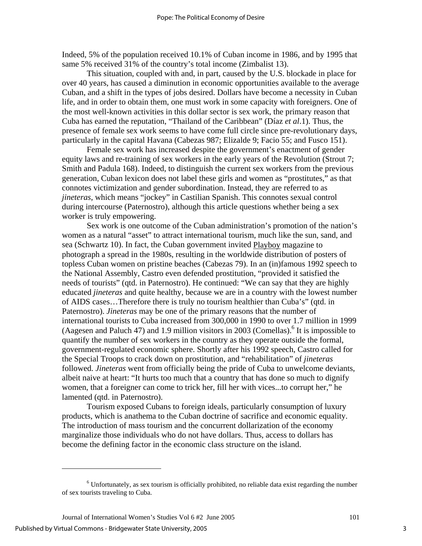Indeed, 5% of the population received 10.1% of Cuban income in 1986, and by 1995 that same 5% received 31% of the country's total income (Zimbalist 13).

This situation, coupled with and, in part, caused by the U.S. blockade in place for over 40 years, has caused a diminution in economic opportunities available to the average Cuban, and a shift in the types of jobs desired. Dollars have become a necessity in Cuban life, and in order to obtain them, one must work in some capacity with foreigners. One of the most well-known activities in this dollar sector is sex work, the primary reason that Cuba has earned the reputation, "Thailand of the Caribbean" (Díaz *et al*.1). Thus, the presence of female sex work seems to have come full circle since pre-revolutionary days, particularly in the capital Havana (Cabezas 987; Elizalde 9; Facio 55; and Fusco 151).

Female sex work has increased despite the government's enactment of gender equity laws and re-training of sex workers in the early years of the Revolution (Strout 7; Smith and Padula 168). Indeed, to distinguish the current sex workers from the previous generation, Cuban lexicon does not label these girls and women as "prostitutes," as that connotes victimization and gender subordination. Instead, they are referred to as *jineteras*, which means "jockey" in Castilian Spanish. This connotes sexual control during intercourse (Paternostro), although this article questions whether being a sex worker is truly empowering.

Sex work is one outcome of the Cuban administration's promotion of the nation's women as a natural "asset" to attract international tourism, much like the sun, sand, and sea (Schwartz 10). In fact, the Cuban government invited Playboy magazine to photograph a spread in the 1980s, resulting in the worldwide distribution of posters of topless Cuban women on pristine beaches (Cabezas 79). In an (in)famous 1992 speech to the National Assembly, Castro even defended prostitution, "provided it satisfied the needs of tourists" (qtd. in Paternostro). He continued: "We can say that they are highly educated *jineteras* and quite healthy, because we are in a country with the lowest number of AIDS cases…Therefore there is truly no tourism healthier than Cuba's" (qtd. in Paternostro). *Jineteras* may be one of the primary reasons that the number of international tourists to Cuba increased from 300,000 in 1990 to over 1.7 million in 1999 (Aagesen and Paluch 47) and 1.9 million visitors in 2003 (Comellas).<sup>[6](#page-3-0)</sup> It is impossible to quantify the number of sex workers in the country as they operate outside the formal, government-regulated economic sphere. Shortly after his 1992 speech, Castro called for the Special Troops to crack down on prostitution, and "rehabilitation" of *jineteras* followed. *Jineteras* went from officially being the pride of Cuba to unwelcome deviants, albeit naive at heart: "It hurts too much that a country that has done so much to dignify women, that a foreigner can come to trick her, fill her with vices...to corrupt her," he lamented (qtd. in Paternostro).

Tourism exposed Cubans to foreign ideals, particularly consumption of luxury products, which is anathema to the Cuban doctrine of sacrifice and economic equality. The introduction of mass tourism and the concurrent dollarization of the economy marginalize those individuals who do not have dollars. Thus, access to dollars has become the defining factor in the economic class structure on the island.

<span id="page-3-0"></span> $6$  Unfortunately, as sex tourism is officially prohibited, no reliable data exist regarding the number of sex tourists traveling to Cuba.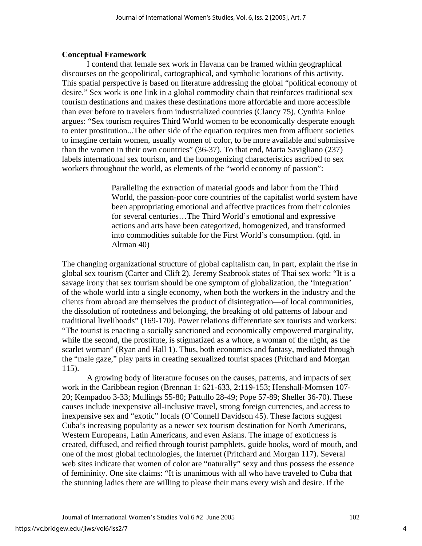#### **Conceptual Framework**

I contend that female sex work in Havana can be framed within geographical discourses on the geopolitical, cartographical, and symbolic locations of this activity. This spatial perspective is based on literature addressing the global "political economy of desire." Sex work is one link in a global commodity chain that reinforces traditional sex tourism destinations and makes these destinations more affordable and more accessible than ever before to travelers from industrialized countries (Clancy 75). Cynthia Enloe argues: "Sex tourism requires Third World women to be economically desperate enough to enter prostitution...The other side of the equation requires men from affluent societies to imagine certain women, usually women of color, to be more available and submissive than the women in their own countries" (36-37). To that end, Marta Savigliano (237) labels international sex tourism, and the homogenizing characteristics ascribed to sex workers throughout the world, as elements of the "world economy of passion":

> Paralleling the extraction of material goods and labor from the Third World, the passion-poor core countries of the capitalist world system have been appropriating emotional and affective practices from their colonies for several centuries…The Third World's emotional and expressive actions and arts have been categorized, homogenized, and transformed into commodities suitable for the First World's consumption. (qtd. in Altman 40)

The changing organizational structure of global capitalism can, in part, explain the rise in global sex tourism (Carter and Clift 2). Jeremy Seabrook states of Thai sex work: "It is a savage irony that sex tourism should be one symptom of globalization, the 'integration' of the whole world into a single economy, when both the workers in the industry and the clients from abroad are themselves the product of disintegration—of local communities, the dissolution of rootedness and belonging, the breaking of old patterns of labour and traditional livelihoods" (169-170). Power relations differentiate sex tourists and workers: "The tourist is enacting a socially sanctioned and economically empowered marginality, while the second, the prostitute, is stigmatized as a whore, a woman of the night, as the scarlet woman" (Ryan and Hall 1). Thus, both economics and fantasy, mediated through the "male gaze," play parts in creating sexualized tourist spaces (Pritchard and Morgan 115).

 A growing body of literature focuses on the causes, patterns, and impacts of sex work in the Caribbean region (Brennan 1: 621-633, 2:119-153; Henshall-Momsen 107- 20; Kempadoo 3-33; Mullings 55-80; Pattullo 28-49; Pope 57-89; Sheller 36-70). These causes include inexpensive all-inclusive travel, strong foreign currencies, and access to inexpensive sex and "exotic" locals (O'Connell Davidson 45). These factors suggest Cuba's increasing popularity as a newer sex tourism destination for North Americans, Western Europeans, Latin Americans, and even Asians. The image of exoticness is created, diffused, and reified through tourist pamphlets, guide books, word of mouth, and one of the most global technologies, the Internet (Pritchard and Morgan 117). Several web sites indicate that women of color are "naturally" sexy and thus possess the essence of femininity. One site claims: "It is unanimous with all who have traveled to Cuba that the stunning ladies there are willing to please their mans every wish and desire. If the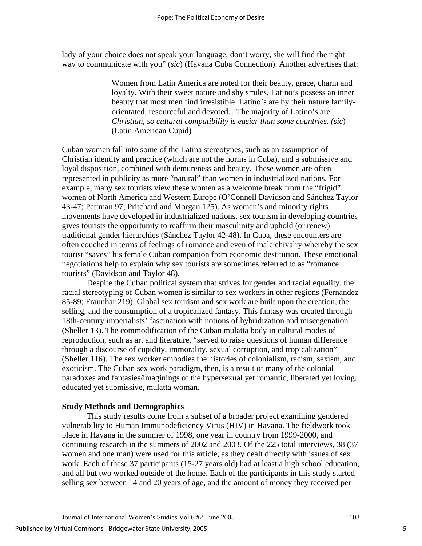lady of your choice does not speak your language, don't worry, she will find the right way to communicate with you" (*sic*) (Havana Cuba Connection). Another advertises that:

> Women from Latin America are noted for their beauty, grace, charm and loyalty. With their sweet nature and shy smiles, Latino's possess an inner beauty that most men find irresistible. Latino's are by their nature familyorientated, resourceful and devoted…The majority of Latino's are *Christian, so cultural compatibility is easier than some countries. (sic*) (Latin American Cupid)

Cuban women fall into some of the Latina stereotypes, such as an assumption of Christian identity and practice (which are not the norms in Cuba), and a submissive and loyal disposition, combined with demureness and beauty. These women are often represented in publicity as more "natural" than women in industrialized nations. For example, many sex tourists view these women as a welcome break from the "frigid" women of North America and Western Europe (O'Connell Davidson and Sánchez Taylor 43-47; Pettman 97; Pritchard and Morgan 125). As women's and minority rights movements have developed in industrialized nations, sex tourism in developing countries gives tourists the opportunity to reaffirm their masculinity and uphold (or renew) traditional gender hierarchies (Sánchez Taylor 42-48). In Cuba, these encounters are often couched in terms of feelings of romance and even of male chivalry whereby the sex tourist "saves" his female Cuban companion from economic destitution. These emotional negotiations help to explain why sex tourists are sometimes referred to as "romance tourists" (Davidson and Taylor 48).

Despite the Cuban political system that strives for gender and racial equality, the racial stereotyping of Cuban women is similar to sex workers in other regions (Fernandez 85-89; Fraunhar 219). Global sex tourism and sex work are built upon the creation, the selling, and the consumption of a tropicalized fantasy. This fantasy was created through 18th-century imperialists' fascination with notions of hybridization and miscegenation (Sheller 13). The commodification of the Cuban mulatta body in cultural modes of reproduction, such as art and literature, "served to raise questions of human difference through a discourse of cupidity, immorality, sexual corruption, and tropicalization" (Sheller 116). The sex worker embodies the histories of colonialism, racism, sexism, and exoticism. The Cuban sex work paradigm, then, is a result of many of the colonial paradoxes and fantasies/imaginings of the hypersexual yet romantic, liberated yet loving, educated yet submissive, mulatta woman.

# **Study Methods and Demographics**

This study results come from a subset of a broader project examining gendered vulnerability to Human Immunodeficiency Virus (HIV) in Havana. The fieldwork took place in Havana in the summer of 1998, one year in country from 1999-2000, and continuing research in the summers of 2002 and 2003. Of the 225 total interviews, 38 (37 women and one man) were used for this article, as they dealt directly with issues of sex work. Each of these 37 participants (15-27 years old) had at least a high school education, and all but two worked outside of the home. Each of the participants in this study started selling sex between 14 and 20 years of age, and the amount of money they received per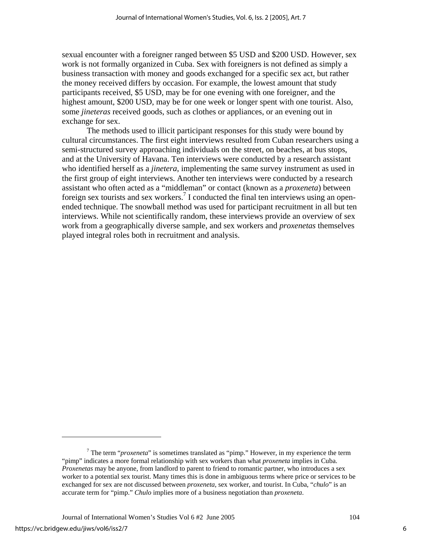sexual encounter with a foreigner ranged between \$5 USD and \$200 USD. However, sex work is not formally organized in Cuba. Sex with foreigners is not defined as simply a business transaction with money and goods exchanged for a specific sex act, but rather the money received differs by occasion. For example, the lowest amount that study participants received, \$5 USD, may be for one evening with one foreigner, and the highest amount, \$200 USD, may be for one week or longer spent with one tourist. Also, some *jineteras* received goods, such as clothes or appliances, or an evening out in exchange for sex.

The methods used to illicit participant responses for this study were bound by cultural circumstances. The first eight interviews resulted from Cuban researchers using a semi-structured survey approaching individuals on the street, on beaches, at bus stops, and at the University of Havana. Ten interviews were conducted by a research assistant who identified herself as a *jinetera*, implementing the same survey instrument as used in the first group of eight interviews. Another ten interviews were conducted by a research assistant who often acted as a "middleman" or contact (known as a *proxeneta*) between foreign sex tourists and sex workers.<sup>7</sup> I conducted the final ten interviews using an openended technique. The snowball method was used for participant recruitment in all but ten interviews. While not scientifically random, these interviews provide an overview of sex work from a geographically diverse sample, and sex workers and *proxenetas* themselves played integral roles both in recruitment and analysis.

<span id="page-6-0"></span><sup>&</sup>lt;sup>7</sup> The term "*proxeneta*" is sometimes translated as "pimp." However, in my experience the term "pimp" indicates a more formal relationship with sex workers than what *proxeneta* implies in Cuba. *Proxenetas* may be anyone, from landlord to parent to friend to romantic partner, who introduces a sex worker to a potential sex tourist. Many times this is done in ambiguous terms where price or services to be exchanged for sex are not discussed between *proxeneta*, sex worker, and tourist. In Cuba, "*chulo*" is an accurate term for "pimp." *Chulo* implies more of a business negotiation than *proxeneta*.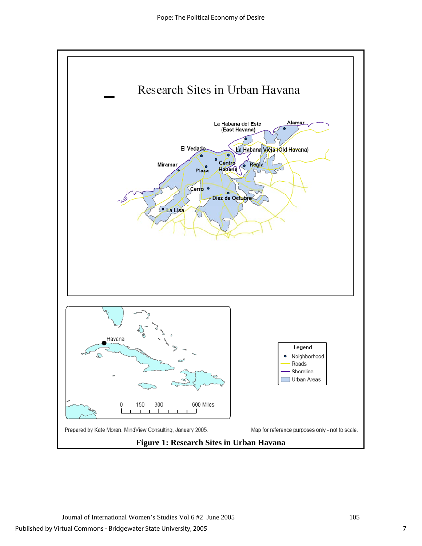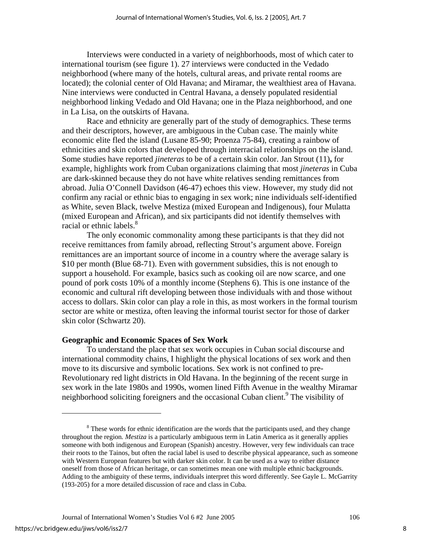Interviews were conducted in a variety of neighborhoods, most of which cater to international tourism (see figure 1). 27 interviews were conducted in the Vedado neighborhood (where many of the hotels, cultural areas, and private rental rooms are located); the colonial center of Old Havana; and Miramar, the wealthiest area of Havana. Nine interviews were conducted in Central Havana, a densely populated residential neighborhood linking Vedado and Old Havana; one in the Plaza neighborhood, and one in La Lisa, on the outskirts of Havana.

 Race and ethnicity are generally part of the study of demographics. These terms and their descriptors, however, are ambiguous in the Cuban case. The mainly white economic elite fled the island (Lusane 85-90; Proenza 75-84), creating a rainbow of ethnicities and skin colors that developed through interracial relationships on the island. Some studies have reported *jineteras* to be of a certain skin color. Jan Strout (11)**,** for example, highlights work from Cuban organizations claiming that most *jineteras* in Cuba are dark-skinned because they do not have white relatives sending remittances from abroad. Julia O'Connell Davidson (46-47) echoes this view. However, my study did not confirm any racial or ethnic bias to engaging in sex work; nine individuals self-identified as White, seven Black, twelve Mestiza (mixed European and Indigenous), four Mulatta (mixed European and African), and six participants did not identify themselves with racial or ethnic labels.<sup>8</sup>

The only economic commonality among these participants is that they did not receive remittances from family abroad, reflecting Strout's argument above. Foreign remittances are an important source of income in a country where the average salary is \$10 per month (Blue 68-71). Even with government subsidies, this is not enough to support a household. For example, basics such as cooking oil are now scarce, and one pound of pork costs 10% of a monthly income (Stephens 6). This is one instance of the economic and cultural rift developing between those individuals with and those without access to dollars. Skin color can play a role in this, as most workers in the formal tourism sector are white or mestiza, often leaving the informal tourist sector for those of darker skin color (Schwartz 20).

#### **Geographic and Economic Spaces of Sex Work**

To understand the place that sex work occupies in Cuban social discourse and international commodity chains, I highlight the physical locations of sex work and then move to its discursive and symbolic locations. Sex work is not confined to pre-Revolutionary red light districts in Old Havana. In the beginning of the recent surge in sex work in the late 1980s and 1990s, women lined Fifth Avenue in the wealthy Miramar neighborhood soliciting foreigners and the occasional Cuban client.<sup>[9](#page-8-1)</sup> The visibility of

<span id="page-8-1"></span><span id="page-8-0"></span><sup>&</sup>lt;sup>8</sup> These words for ethnic identification are the words that the participants used, and they change throughout the region*. Mestiza* is a particularly ambiguous term in Latin America as it generally applies someone with both indigenous and European (Spanish) ancestry. However, very few individuals can trace their roots to the Tainos, but often the racial label is used to describe physical appearance, such as someone with Western European features but with darker skin color. It can be used as a way to either distance oneself from those of African heritage, or can sometimes mean one with multiple ethnic backgrounds. Adding to the ambiguity of these terms, individuals interpret this word differently. See Gayle L. McGarrity (193-205) for a more detailed discussion of race and class in Cuba.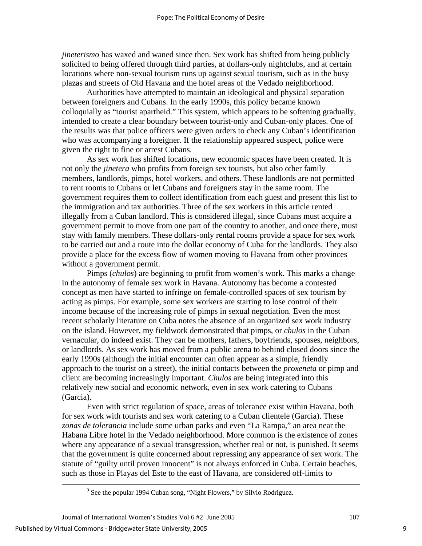*jineterismo* has waxed and waned since then. Sex work has shifted from being publicly solicited to being offered through third parties, at dollars-only nightclubs, and at certain locations where non-sexual tourism runs up against sexual tourism, such as in the busy plazas and streets of Old Havana and the hotel areas of the Vedado neighborhood.

Authorities have attempted to maintain an ideological and physical separation between foreigners and Cubans. In the early 1990s, this policy became known colloquially as "tourist apartheid." This system, which appears to be softening gradually, intended to create a clear boundary between tourist-only and Cuban-only places. One of the results was that police officers were given orders to check any Cuban's identification who was accompanying a foreigner. If the relationship appeared suspect, police were given the right to fine or arrest Cubans.

As sex work has shifted locations, new economic spaces have been created. It is not only the *jinetera* who profits from foreign sex tourists, but also other family members, landlords, pimps, hotel workers, and others. These landlords are not permitted to rent rooms to Cubans or let Cubans and foreigners stay in the same room. The government requires them to collect identification from each guest and present this list to the immigration and tax authorities. Three of the sex workers in this article rented illegally from a Cuban landlord. This is considered illegal, since Cubans must acquire a government permit to move from one part of the country to another, and once there, must stay with family members. These dollars-only rental rooms provide a space for sex work to be carried out and a route into the dollar economy of Cuba for the landlords. They also provide a place for the excess flow of women moving to Havana from other provinces without a government permit.

 Pimps (*chulos*) are beginning to profit from women's work. This marks a change in the autonomy of female sex work in Havana. Autonomy has become a contested concept as men have started to infringe on female-controlled spaces of sex tourism by acting as pimps. For example, some sex workers are starting to lose control of their income because of the increasing role of pimps in sexual negotiation. Even the most recent scholarly literature on Cuba notes the absence of an organized sex work industry on the island. However, my fieldwork demonstrated that pimps, or *chulos* in the Cuban vernacular*,* do indeed exist. They can be mothers, fathers, boyfriends, spouses, neighbors, or landlords. As sex work has moved from a public arena to behind closed doors since the early 1990s (although the initial encounter can often appear as a simple, friendly approach to the tourist on a street), the initial contacts between the *proxeneta* or pimp and client are becoming increasingly important. *Chulos* are being integrated into this relatively new social and economic network, even in sex work catering to Cubans (Garcia).

Even with strict regulation of space, areas of tolerance exist within Havana, both for sex work with tourists and sex work catering to a Cuban clientele (Garcia). These *zonas de tolerancia* include some urban parks and even "La Rampa," an area near the Habana Libre hotel in the Vedado neighborhood. More common is the existence of zones where any appearance of a sexual transgression, whether real or not, is punished. It seems that the government is quite concerned about repressing any appearance of sex work. The statute of "guilty until proven innocent" is not always enforced in Cuba. Certain beaches, such as those in Playas del Este to the east of Havana, are considered off-limits to

 $\frac{1}{\sqrt{9}}$ <sup>9</sup> See the popular 1994 Cuban song, "Night Flowers," by Silvio Rodriguez.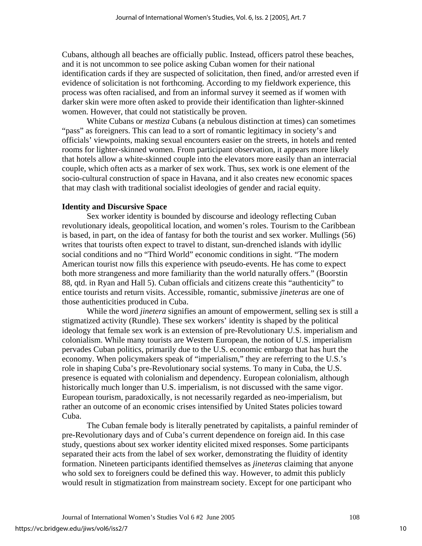Cubans, although all beaches are officially public. Instead, officers patrol these beaches, and it is not uncommon to see police asking Cuban women for their national identification cards if they are suspected of solicitation, then fined, and/or arrested even if evidence of solicitation is not forthcoming. According to my fieldwork experience, this process was often racialised, and from an informal survey it seemed as if women with darker skin were more often asked to provide their identification than lighter-skinned women. However, that could not statistically be proven.

White Cubans or *mestiza* Cubans (a nebulous distinction at times) can sometimes "pass" as foreigners. This can lead to a sort of romantic legitimacy in society's and officials' viewpoints, making sexual encounters easier on the streets, in hotels and rented rooms for lighter-skinned women. From participant observation, it appears more likely that hotels allow a white-skinned couple into the elevators more easily than an interracial couple, which often acts as a marker of sex work. Thus, sex work is one element of the socio-cultural construction of space in Havana, and it also creates new economic spaces that may clash with traditional socialist ideologies of gender and racial equity.

#### **Identity and Discursive Space**

 Sex worker identity is bounded by discourse and ideology reflecting Cuban revolutionary ideals, geopolitical location, and women's roles. Tourism to the Caribbean is based, in part, on the idea of fantasy for both the tourist and sex worker. Mullings (56) writes that tourists often expect to travel to distant, sun-drenched islands with idyllic social conditions and no "Third World" economic conditions in sight. "The modern American tourist now fills this experience with pseudo-events. He has come to expect both more strangeness and more familiarity than the world naturally offers." (Boorstin 88, qtd. in Ryan and Hall 5). Cuban officials and citizens create this "authenticity" to entice tourists and return visits. Accessible, romantic, submissive *jineteras* are one of those authenticities produced in Cuba.

While the word *jinetera* signifies an amount of empowerment, selling sex is still a stigmatized activity (Rundle). These sex workers' identity is shaped by the political ideology that female sex work is an extension of pre-Revolutionary U.S. imperialism and colonialism. While many tourists are Western European, the notion of U.S. imperialism pervades Cuban politics, primarily due to the U.S. economic embargo that has hurt the economy. When policymakers speak of "imperialism," they are referring to the U.S.'s role in shaping Cuba's pre-Revolutionary social systems. To many in Cuba, the U.S. presence is equated with colonialism and dependency. European colonialism, although historically much longer than U.S. imperialism, is not discussed with the same vigor. European tourism, paradoxically, is not necessarily regarded as neo-imperialism, but rather an outcome of an economic crises intensified by United States policies toward Cuba.

The Cuban female body is literally penetrated by capitalists, a painful reminder of pre-Revolutionary days and of Cuba's current dependence on foreign aid. In this case study, questions about sex worker identity elicited mixed responses. Some participants separated their acts from the label of sex worker, demonstrating the fluidity of identity formation. Nineteen participants identified themselves as *jineteras* claiming that anyone who sold sex to foreigners could be defined this way. However, to admit this publicly would result in stigmatization from mainstream society. Except for one participant who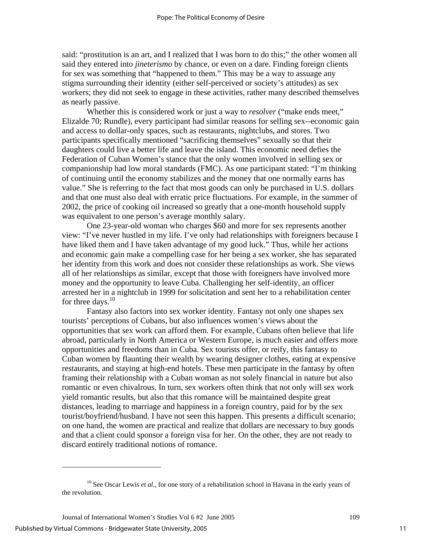said: "prostitution is an art, and I realized that I was born to do this;" the other women all said they entered into *jineterismo* by chance, or even on a dare. Finding foreign clients for sex was something that "happened to them." This may be a way to assuage any stigma surrounding their identity (either self-perceived or society's attitudes) as sex workers; they did not seek to engage in these activities, rather many described themselves as nearly passive.

Whether this is considered work or just a way to *resolver* ("make ends meet," Elizalde 70; Rundle), every participant had similar reasons for selling sex--economic gain and access to dollar-only spaces, such as restaurants, nightclubs, and stores. Two participants specifically mentioned "sacrificing themselves" sexually so that their daughters could live a better life and leave the island. This economic need defies the Federation of Cuban Women's stance that the only women involved in selling sex or companionship had low moral standards (FMC). As one participant stated: "I'm thinking of continuing until the economy stabilizes and the money that one normally earns has value." She is referring to the fact that most goods can only be purchased in U.S. dollars and that one must also deal with erratic price fluctuations. For example, in the summer of 2002, the price of cooking oil increased so greatly that a one-month household supply was equivalent to one person's average monthly salary.

One 23-year-old woman who charges \$60 and more for sex represents another view: "I've never hustled in my life. I've only had relationships with foreigners because I have liked them and I have taken advantage of my good luck." Thus, while her actions and economic gain make a compelling case for her being a sex worker, she has separated her identity from this work and does not consider these relationships as work. She views all of her relationships as similar, except that those with foreigners have involved more money and the opportunity to leave Cuba. Challenging her self-identity, an officer arrested her in a nightclub in 1999 for solicitation and sent her to a rehabilitation center for three days.  $10$ 

Fantasy also factors into sex worker identity. Fantasy not only one shapes sex tourists' perceptions of Cubans, but also influences women's views about the opportunities that sex work can afford them. For example, Cubans often believe that life abroad, particularly in North America or Western Europe, is much easier and offers more opportunities and freedoms than in Cuba. Sex tourists offer, or reify, this fantasy to Cuban women by flaunting their wealth by wearing designer clothes, eating at expensive restaurants, and staying at high-end hotels. These men participate in the fantasy by often framing their relationship with a Cuban woman as not solely financial in nature but also romantic or even chivalrous. In turn, sex workers often think that not only will sex work yield romantic results, but also that this romance will be maintained despite great distances, leading to marriage and happiness in a foreign country, paid for by the sex tourist/boyfriend/husband. I have not seen this happen. This presents a difficult scenario; on one hand, the women are practical and realize that dollars are necessary to buy goods and that a client could sponsor a foreign visa for her. On the other, they are not ready to discard entirely traditional notions of romance.

1

<span id="page-11-0"></span><sup>&</sup>lt;sup>10</sup> See Oscar Lewis *et al.*, for one story of a rehabilitation school in Havana in the early years of the revolution.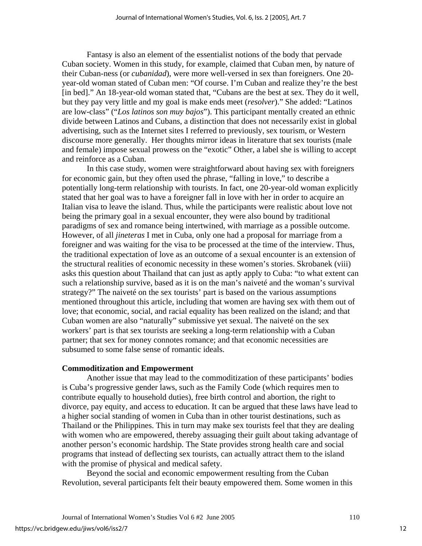Fantasy is also an element of the essentialist notions of the body that pervade Cuban society. Women in this study, for example, claimed that Cuban men, by nature of their Cuban-ness (or *cubanidad*), were more well-versed in sex than foreigners. One 20 year-old woman stated of Cuban men: "Of course. I'm Cuban and realize they're the best [in bed]." An 18-year-old woman stated that, "Cubans are the best at sex. They do it well, but they pay very little and my goal is make ends meet (*resolver*)." She added: "Latinos are low-class" ("*Los latinos son muy bajos*"). This participant mentally created an ethnic divide between Latinos and Cubans, a distinction that does not necessarily exist in global advertising, such as the Internet sites I referred to previously, sex tourism, or Western discourse more generally. Her thoughts mirror ideas in literature that sex tourists (male and female) impose sexual prowess on the "exotic" Other, a label she is willing to accept and reinforce as a Cuban.

 In this case study, women were straightforward about having sex with foreigners for economic gain, but they often used the phrase, "falling in love," to describe a potentially long-term relationship with tourists. In fact, one 20-year-old woman explicitly stated that her goal was to have a foreigner fall in love with her in order to acquire an Italian visa to leave the island. Thus, while the participants were realistic about love not being the primary goal in a sexual encounter, they were also bound by traditional paradigms of sex and romance being intertwined, with marriage as a possible outcome. However, of all *jineteras* I met in Cuba, only one had a proposal for marriage from a foreigner and was waiting for the visa to be processed at the time of the interview. Thus, the traditional expectation of love as an outcome of a sexual encounter is an extension of the structural realities of economic necessity in these women's stories. Skrobanek (viii) asks this question about Thailand that can just as aptly apply to Cuba: "to what extent can such a relationship survive, based as it is on the man's naiveté and the woman's survival strategy?" The naiveté on the sex tourists' part is based on the various assumptions mentioned throughout this article, including that women are having sex with them out of love; that economic, social, and racial equality has been realized on the island; and that Cuban women are also "naturally" submissive yet sexual. The naiveté on the sex workers' part is that sex tourists are seeking a long-term relationship with a Cuban partner; that sex for money connotes romance; and that economic necessities are subsumed to some false sense of romantic ideals.

#### **Commoditization and Empowerment**

Another issue that may lead to the commoditization of these participants' bodies is Cuba's progressive gender laws, such as the Family Code (which requires men to contribute equally to household duties), free birth control and abortion, the right to divorce, pay equity, and access to education. It can be argued that these laws have lead to a higher social standing of women in Cuba than in other tourist destinations, such as Thailand or the Philippines. This in turn may make sex tourists feel that they are dealing with women who are empowered, thereby assuaging their guilt about taking advantage of another person's economic hardship. The State provides strong health care and social programs that instead of deflecting sex tourists, can actually attract them to the island with the promise of physical and medical safety.

Beyond the social and economic empowerment resulting from the Cuban Revolution, several participants felt their beauty empowered them. Some women in this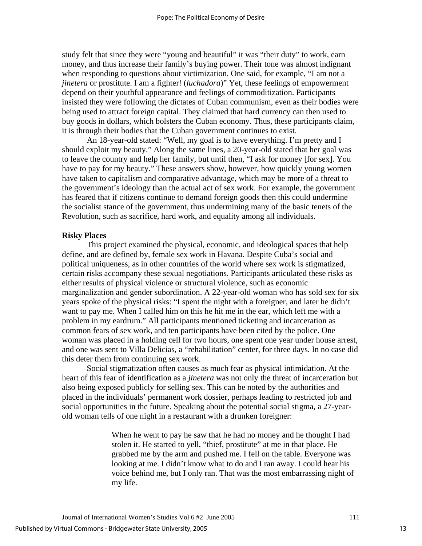study felt that since they were "young and beautiful" it was "their duty" to work, earn money, and thus increase their family's buying power. Their tone was almost indignant when responding to questions about victimization. One said, for example, "I am not a *jinetera* or prostitute. I am a fighter! (*luchadora*)" Yet, these feelings of empowerment depend on their youthful appearance and feelings of commoditization. Participants insisted they were following the dictates of Cuban communism, even as their bodies were being used to attract foreign capital. They claimed that hard currency can then used to buy goods in dollars, which bolsters the Cuban economy. Thus, these participants claim, it is through their bodies that the Cuban government continues to exist.

An 18-year-old stated: "Well, my goal is to have everything. I'm pretty and I should exploit my beauty." Along the same lines, a 20-year-old stated that her goal was to leave the country and help her family, but until then, "I ask for money [for sex]. You have to pay for my beauty." These answers show, however, how quickly young women have taken to capitalism and comparative advantage, which may be more of a threat to the government's ideology than the actual act of sex work. For example, the government has feared that if citizens continue to demand foreign goods then this could undermine the socialist stance of the government, thus undermining many of the basic tenets of the Revolution, such as sacrifice, hard work, and equality among all individuals.

# **Risky Places**

This project examined the physical, economic, and ideological spaces that help define, and are defined by, female sex work in Havana. Despite Cuba's social and political uniqueness, as in other countries of the world where sex work is stigmatized, certain risks accompany these sexual negotiations. Participants articulated these risks as either results of physical violence or structural violence, such as economic marginalization and gender subordination. A 22-year-old woman who has sold sex for six years spoke of the physical risks: "I spent the night with a foreigner, and later he didn't want to pay me. When I called him on this he hit me in the ear, which left me with a problem in my eardrum." All participants mentioned ticketing and incarceration as common fears of sex work, and ten participants have been cited by the police. One woman was placed in a holding cell for two hours, one spent one year under house arrest, and one was sent to Villa Delicias, a "rehabilitation" center, for three days. In no case did this deter them from continuing sex work.

Social stigmatization often causes as much fear as physical intimidation. At the heart of this fear of identification as a *jinetera* was not only the threat of incarceration but also being exposed publicly for selling sex. This can be noted by the authorities and placed in the individuals' permanent work dossier, perhaps leading to restricted job and social opportunities in the future. Speaking about the potential social stigma, a 27-yearold woman tells of one night in a restaurant with a drunken foreigner:

> When he went to pay he saw that he had no money and he thought I had stolen it. He started to yell, "thief, prostitute" at me in that place. He grabbed me by the arm and pushed me. I fell on the table. Everyone was looking at me. I didn't know what to do and I ran away. I could hear his voice behind me, but I only ran. That was the most embarrassing night of my life.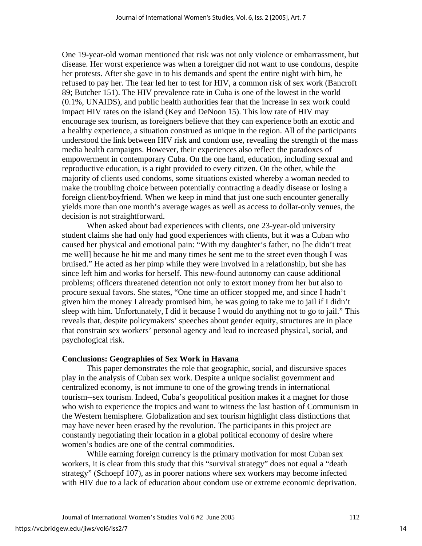One 19-year-old woman mentioned that risk was not only violence or embarrassment, but disease. Her worst experience was when a foreigner did not want to use condoms, despite her protests. After she gave in to his demands and spent the entire night with him, he refused to pay her. The fear led her to test for HIV, a common risk of sex work (Bancroft 89; Butcher 151). The HIV prevalence rate in Cuba is one of the lowest in the world (0.1%, UNAIDS), and public health authorities fear that the increase in sex work could impact HIV rates on the island (Key and DeNoon 15). This low rate of HIV may encourage sex tourism, as foreigners believe that they can experience both an exotic and a healthy experience, a situation construed as unique in the region. All of the participants understood the link between HIV risk and condom use, revealing the strength of the mass media health campaigns. However, their experiences also reflect the paradoxes of empowerment in contemporary Cuba. On the one hand, education, including sexual and reproductive education, is a right provided to every citizen. On the other, while the majority of clients used condoms, some situations existed whereby a woman needed to make the troubling choice between potentially contracting a deadly disease or losing a foreign client/boyfriend. When we keep in mind that just one such encounter generally yields more than one month's average wages as well as access to dollar-only venues, the decision is not straightforward.

 When asked about bad experiences with clients, one 23-year-old university student claims she had only had good experiences with clients, but it was a Cuban who caused her physical and emotional pain: "With my daughter's father, no [he didn't treat me well] because he hit me and many times he sent me to the street even though I was bruised." He acted as her pimp while they were involved in a relationship, but she has since left him and works for herself. This new-found autonomy can cause additional problems; officers threatened detention not only to extort money from her but also to procure sexual favors. She states, "One time an officer stopped me, and since I hadn't given him the money I already promised him, he was going to take me to jail if I didn't sleep with him. Unfortunately, I did it because I would do anything not to go to jail." This reveals that, despite policymakers' speeches about gender equity, structures are in place that constrain sex workers' personal agency and lead to increased physical, social, and psychological risk.

#### **Conclusions: Geographies of Sex Work in Havana**

This paper demonstrates the role that geographic, social, and discursive spaces play in the analysis of Cuban sex work. Despite a unique socialist government and centralized economy, is not immune to one of the growing trends in international tourism--sex tourism. Indeed, Cuba's geopolitical position makes it a magnet for those who wish to experience the tropics and want to witness the last bastion of Communism in the Western hemisphere. Globalization and sex tourism highlight class distinctions that may have never been erased by the revolution. The participants in this project are constantly negotiating their location in a global political economy of desire where women's bodies are one of the central commodities.

While earning foreign currency is the primary motivation for most Cuban sex workers, it is clear from this study that this "survival strategy" does not equal a "death strategy" (Schoepf 107), as in poorer nations where sex workers may become infected with HIV due to a lack of education about condom use or extreme economic deprivation.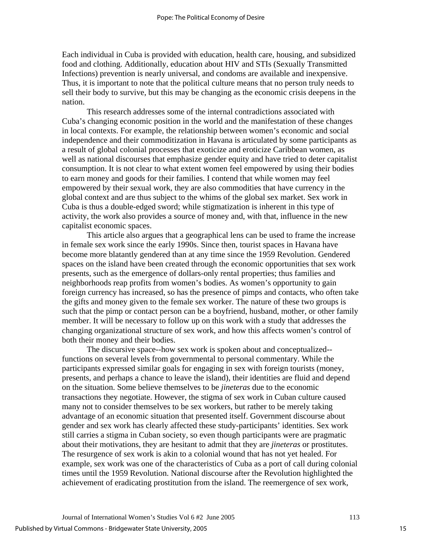Each individual in Cuba is provided with education, health care, housing, and subsidized food and clothing. Additionally, education about HIV and STIs (Sexually Transmitted Infections) prevention is nearly universal, and condoms are available and inexpensive. Thus, it is important to note that the political culture means that no person truly needs to sell their body to survive, but this may be changing as the economic crisis deepens in the nation.

This research addresses some of the internal contradictions associated with Cuba's changing economic position in the world and the manifestation of these changes in local contexts. For example, the relationship between women's economic and social independence and their commoditization in Havana is articulated by some participants as a result of global colonial processes that exoticize and eroticize Caribbean women, as well as national discourses that emphasize gender equity and have tried to deter capitalist consumption. It is not clear to what extent women feel empowered by using their bodies to earn money and goods for their families. I contend that while women may feel empowered by their sexual work, they are also commodities that have currency in the global context and are thus subject to the whims of the global sex market. Sex work in Cuba is thus a double-edged sword; while stigmatization is inherent in this type of activity, the work also provides a source of money and, with that, influence in the new capitalist economic spaces.

This article also argues that a geographical lens can be used to frame the increase in female sex work since the early 1990s. Since then, tourist spaces in Havana have become more blatantly gendered than at any time since the 1959 Revolution. Gendered spaces on the island have been created through the economic opportunities that sex work presents, such as the emergence of dollars-only rental properties; thus families and neighborhoods reap profits from women's bodies. As women's opportunity to gain foreign currency has increased, so has the presence of pimps and contacts, who often take the gifts and money given to the female sex worker. The nature of these two groups is such that the pimp or contact person can be a boyfriend, husband, mother, or other family member. It will be necessary to follow up on this work with a study that addresses the changing organizational structure of sex work, and how this affects women's control of both their money and their bodies.

The discursive space--how sex work is spoken about and conceptualized- functions on several levels from governmental to personal commentary. While the participants expressed similar goals for engaging in sex with foreign tourists (money, presents, and perhaps a chance to leave the island), their identities are fluid and depend on the situation. Some believe themselves to be *jineteras* due to the economic transactions they negotiate. However, the stigma of sex work in Cuban culture caused many not to consider themselves to be sex workers, but rather to be merely taking advantage of an economic situation that presented itself. Government discourse about gender and sex work has clearly affected these study-participants' identities. Sex work still carries a stigma in Cuban society, so even though participants were are pragmatic about their motivations, they are hesitant to admit that they are *jineteras* or prostitutes. The resurgence of sex work is akin to a colonial wound that has not yet healed. For example, sex work was one of the characteristics of Cuba as a port of call during colonial times until the 1959 Revolution. National discourse after the Revolution highlighted the achievement of eradicating prostitution from the island. The reemergence of sex work,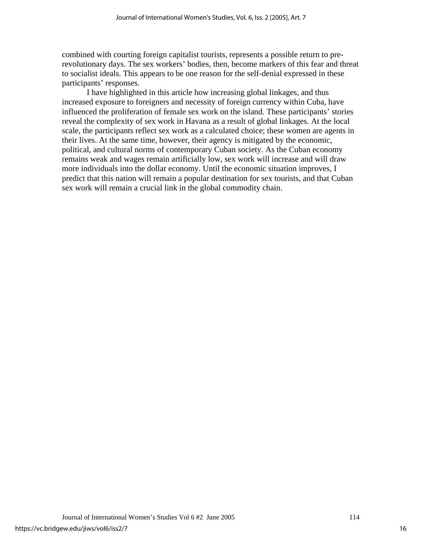combined with courting foreign capitalist tourists, represents a possible return to prerevolutionary days. The sex workers' bodies, then, become markers of this fear and threat to socialist ideals. This appears to be one reason for the self-denial expressed in these participants' responses.

 I have highlighted in this article how increasing global linkages, and thus increased exposure to foreigners and necessity of foreign currency within Cuba, have influenced the proliferation of female sex work on the island. These participants' stories reveal the complexity of sex work in Havana as a result of global linkages. At the local scale, the participants reflect sex work as a calculated choice; these women are agents in their lives. At the same time, however, their agency is mitigated by the economic, political, and cultural norms of contemporary Cuban society. As the Cuban economy remains weak and wages remain artificially low, sex work will increase and will draw more individuals into the dollar economy. Until the economic situation improves, I predict that this nation will remain a popular destination for sex tourists, and that Cuban sex work will remain a crucial link in the global commodity chain.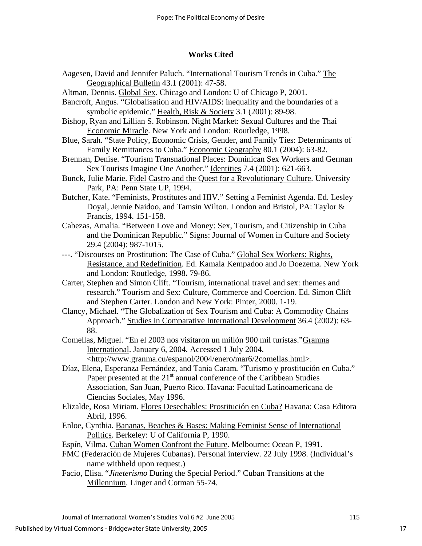#### **Works Cited**

- Aagesen, David and Jennifer Paluch. "International Tourism Trends in Cuba." The Geographical Bulletin 43.1 (2001): 47-58.
- Altman, Dennis. Global Sex. Chicago and London: U of Chicago P, 2001.
- Bancroft, Angus. "Globalisation and HIV/AIDS: inequality and the boundaries of a symbolic epidemic." Health, Risk & Society 3.1 (2001): 89-98.
- Bishop, Ryan and Lillian S. Robinson. Night Market: Sexual Cultures and the Thai Economic Miracle. New York and London: Routledge, 1998.
- Blue, Sarah. "State Policy, Economic Crisis, Gender, and Family Ties: Determinants of Family Remittances to Cuba." Economic Geography 80.1 (2004): 63-82.
- Brennan, Denise. "Tourism Transnational Places: Dominican Sex Workers and German Sex Tourists Imagine One Another." Identities 7.4 (2001): 621-663.
- Bunck, Julie Marie. Fidel Castro and the Quest for a Revolutionary Culture. University Park, PA: Penn State UP, 1994.
- Butcher, Kate. "Feminists, Prostitutes and HIV." Setting a Feminist Agenda. Ed. Lesley Doyal, Jennie Naidoo, and Tamsin Wilton. London and Bristol, PA: Taylor & Francis, 1994. 151-158.
- Cabezas, Amalia. "Between Love and Money: Sex, Tourism, and Citizenship in Cuba and the Dominican Republic." Signs: Journal of Women in Culture and Society 29.4 (2004): 987-1015.
- ---. "Discourses on Prostitution: The Case of Cuba." Global Sex Workers: Rights, Resistance, and Redefinition. Ed. Kamala Kempadoo and Jo Doezema. New York and London: Routledge, 1998**.** 79-86.
- Carter, Stephen and Simon Clift. "Tourism, international travel and sex: themes and research." Tourism and Sex: Culture, Commerce and Coercion. Ed. Simon Clift and Stephen Carter. London and New York: Pinter, 2000. 1-19.
- Clancy, Michael. "The Globalization of Sex Tourism and Cuba: A Commodity Chains Approach." Studies in Comparative International Development 36.4 (2002): 63- 88.
- Comellas, Miguel. "En el 2003 nos visitaron un millón 900 mil turistas."Granma International. January 6, 2004. Accessed 1 July 2004. <[http://www.granma.cu/espanol/2004/enero/mar6/2comellas.html>](http://www.granma.cu/espanol/2004/enero/mar6/2comellas.html).
- Díaz, Elena, Esperanza Fernández, and Tania Caram*.* "Turismo y prostitución en Cuba." Paper presented at the  $21<sup>st</sup>$  annual conference of the Caribbean Studies Association, San Juan, Puerto Rico. Havana: Facultad Latinoamericana de Ciencias Sociales, May 1996.
- Elizalde, Rosa Miriam. Flores Desechables: Prostitución en Cuba? Havana: Casa Editora Abril, 1996.
- Enloe, Cynthia. Bananas, Beaches & Bases: Making Feminist Sense of International Politics. Berkeley: U of California P, 1990.

- FMC (Federación de Mujeres Cubanas). Personal interview. 22 July 1998. (Individual's name withheld upon request.)
- Facio, Elisa. "*Jineterismo* During the Special Period." Cuban Transitions at the Millennium. Linger and Cotman 55-74.

Espín, Vilma. Cuban Women Confront the Future. Melbourne: Ocean P, 1991.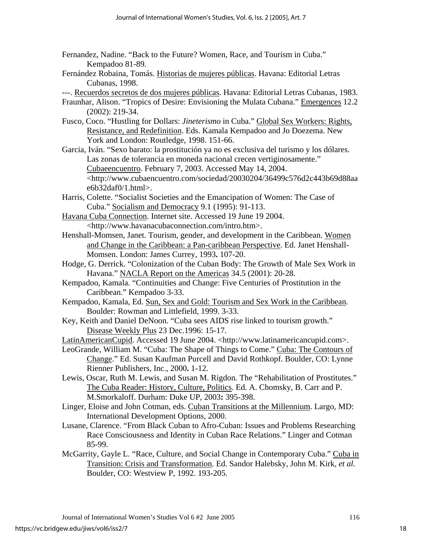- Fernandez, Nadine. "Back to the Future? Women, Race, and Tourism in Cuba." Kempadoo 81-89.
- Fernández Robaina, Tomás. Historias de mujeres públicas. Havana: Editorial Letras Cubanas, 1998.
- ---. Recuerdos secretos de dos mujeres públicas. Havana: Editorial Letras Cubanas, 1983.
- Fraunhar, Alison. "Tropics of Desire: Envisioning the Mulata Cubana." Emergences 12.2 (2002): 219-34.
- Fusco, Coco. "Hustling for Dollars: *Jineterismo* in Cuba." Global Sex Workers: Rights, Resistance, and Redefinition. Eds. Kamala Kempadoo and Jo Doezema. New York and London: Routledge, 1998. 151-66.
- Garcia, Iván. "Sexo barato: la prostitución ya no es exclusiva del turismo y los dólares. Las zonas de tolerancia en moneda nacional crecen vertiginosamente." Cubaeencuentro. February 7, 2003. Accessed May 14, 2004. <http://www.cubaencuentro.com/sociedad/20030204/36499c576d2c443b69d88aa e $6b32da$ f $0/1.html$ .
- Harris, Colette. "Socialist Societies and the Emancipation of Women: The Case of Cuba." Socialism and Democracy 9.1 (1995): 91-113.
- Havana Cuba Connection. Internet site. Accessed 19 June 19 2004. <http://www.havanacubaconnection.com/intro.htm>.
- Henshall-Momsen, Janet. Tourism, gender, and development in the Caribbean. Women and Change in the Caribbean: a Pan-caribbean Perspective. Ed. Janet Henshall-Momsen. London: James Currey, 1993**.** 107-20.
- Hodge, G. Derrick. "Colonization of the Cuban Body: The Growth of Male Sex Work in Havana." NACLA Report on the Americas 34.5 (2001): 20-28.
- Kempadoo, Kamala. "Continuities and Change: Five Centuries of Prostitution in the Caribbean." Kempadoo 3-33.
- Kempadoo, Kamala, Ed. Sun, Sex and Gold: Tourism and Sex Work in the Caribbean. Boulder: Rowman and Littlefield, 1999. 3-33.
- Key, Keith and Daniel DeNoon. "Cuba sees AIDS rise linked to tourism growth." Disease Weekly Plus 23 Dec.1996: 15-17.
- LatinAmericanCupid. Accessed 19 June 2004. <http://www.latinamericancupid.com>.
- LeoGrande, William M. "Cuba: The Shape of Things to Come." Cuba: The Contours of Change." Ed. Susan Kaufman Purcell and David Rothkopf. Boulder, CO: Lynne Rienner Publishers, Inc., 2000**.** 1-12.
- Lewis, Oscar, Ruth M. Lewis, and Susan M. Rigdon*.* The "Rehabilitation of Prostitutes." The Cuba Reader: History, Culture, Politics. Ed. A. Chomsky, B. Carr and P. M.Smorkaloff. Durham: Duke UP, 2003**:** 395-398.
- Linger, Eloise and John Cotman, eds. Cuban Transitions at the Millennium. Largo, MD: International Development Options, 2000.
- Lusane, Clarence. "From Black Cuban to Afro-Cuban: Issues and Problems Researching Race Consciousness and Identity in Cuban Race Relations." Linger and Cotman 85-99.
- McGarrity, Gayle L. "Race, Culture, and Social Change in Contemporary Cuba." Cuba in Transition: Crisis and Transformation. Ed. Sandor Halebsky, John M. Kirk, *et al.* Boulder, CO: Westview P, 1992. 193-205.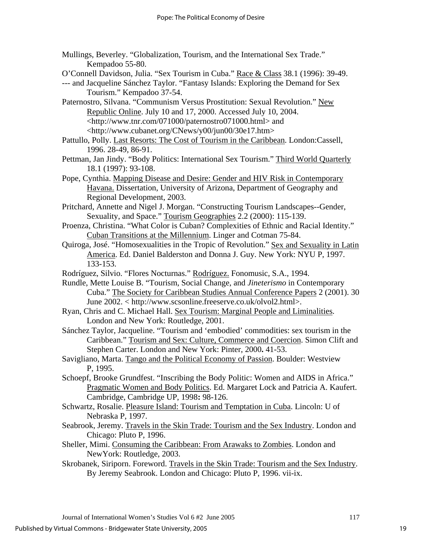- Mullings, Beverley. "Globalization, Tourism, and the International Sex Trade." Kempadoo 55-80.
- O'Connell Davidson, Julia. "Sex Tourism in Cuba." Race & Class 38.1 (1996): 39-49.
- --- and Jacqueline Sánchez Taylor. "Fantasy Islands: Exploring the Demand for Sex Tourism." Kempadoo 37-54.
- Paternostro, Silvana. "Communism Versus Prostitution: Sexual Revolution." New Republic Online. July 10 and 17, 2000. Accessed July 10, 2004. <[http://www.tnr.com/071000/paternostro071000.html>](http://www.tnr.com/071000/paternostro071000.html) and <http://www.cubanet.org/CNews/y00/jun00/30e17.htm>
- Pattullo, Polly. Last Resorts: The Cost of Tourism in the Caribbean. London:Cassell, 1996. 28-49, 86-91.
- Pettman, Jan Jindy. "Body Politics: International Sex Tourism." Third World Quarterly 18.1 (1997): 93-108.
- Pope, Cynthia. Mapping Disease and Desire: Gender and HIV Risk in Contemporary Havana. Dissertation, University of Arizona, Department of Geography and Regional Development, 2003.
- Pritchard, Annette and Nigel J. Morgan. "Constructing Tourism Landscapes--Gender, Sexuality, and Space." Tourism Geographies 2.2 (2000): 115-139.
- Proenza, Christina. "What Color is Cuban? Complexities of Ethnic and Racial Identity." Cuban Transitions at the Millennium. Linger and Cotman 75-84.
- Quiroga, José. "Homosexualities in the Tropic of Revolution." Sex and Sexuality in Latin America. Ed. Daniel Balderston and Donna J. Guy. New York: NYU P, 1997. 133-153.
- Rodríguez, Silvio. "Flores Nocturnas." Rodríguez. Fonomusic, S.A., 1994.
- Rundle, Mette Louise B. "Tourism, Social Change, and *Jineterismo* in Contemporary Cuba." The Society for Caribbean Studies Annual Conference Papers 2 (2001). 30 June 2002. < http://www.scsonline.freeserve.co.uk/olvol2.html>.
- Ryan, Chris and C. Michael Hall. Sex Tourism: Marginal People and Liminalities. London and New York: Routledge, 2001.
- Sánchez Taylor, Jacqueline. "Tourism and 'embodied' commodities: sex tourism in the Caribbean." Tourism and Sex: Culture, Commerce and Coercion. Simon Clift and Stephen Carter. London and New York: Pinter, 2000**.** 41-53.
- Savigliano, Marta. Tango and the Political Economy of Passion. Boulder: Westview P, 1995.
- Schoepf, Brooke Grundfest. "Inscribing the Body Politic: Women and AIDS in Africa." Pragmatic Women and Body Politics. Ed. Margaret Lock and Patricia A. Kaufert. Cambridge, Cambridge UP, 1998**:** 98-126.
- Schwartz, Rosalie. Pleasure Island: Tourism and Temptation in Cuba. Lincoln: U of Nebraska P, 1997.
- Seabrook, Jeremy. Travels in the Skin Trade: Tourism and the Sex Industry. London and Chicago: Pluto P, 1996.
- Sheller, Mimi. Consuming the Caribbean: From Arawaks to Zombies. London and NewYork: Routledge, 2003.
- Skrobanek, Siriporn. Foreword. Travels in the Skin Trade: Tourism and the Sex Industry. By Jeremy Seabrook. London and Chicago: Pluto P, 1996. vii-ix.